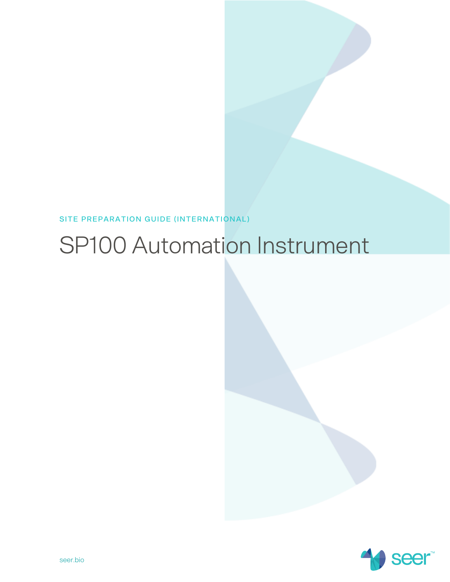**SITE PREPARATION GUIDE (INTERNATIONAL)** 

# SP100 Automation Instrument

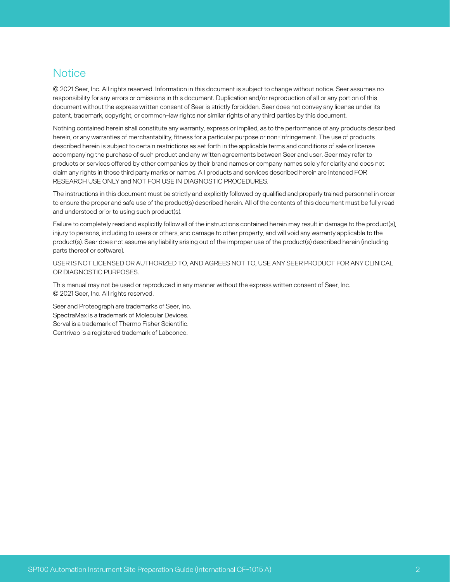#### <span id="page-1-0"></span>**Notice**

© 2021 Seer, Inc. All rights reserved. Information in this document is subject to change without notice. Seer assumes no responsibility for any errors or omissions in this document. Duplication and/or reproduction of all or any portion of this document without the express written consent of Seer is strictly forbidden. Seer does not convey any license under its patent, trademark, copyright, or common-law rights nor similar rights of any third parties by this document.

Nothing contained herein shall constitute any warranty, express or implied, as to the performance of any products described herein, or any warranties of merchantability, fitness for a particular purpose or non-infringement. The use of products described herein is subject to certain restrictions as set forth in the applicable terms and conditions of sale or license accompanying the purchase of such product and any written agreements between Seer and user. Seer may refer to products or services offered by other companies by their brand names or company names solely for clarity and does not claim any rights in those third party marks or names. All products and services described herein are intended FOR RESEARCH USE ONLY and NOT FOR USE IN DIAGNOSTIC PROCEDURES.

The instructions in this document must be strictly and explicitly followed by qualified and properly trained personnel in order to ensure the proper and safe use of the product(s) described herein. All of the contents of this document must be fully read and understood prior to using such product(s).

Failure to completely read and explicitly follow all of the instructions contained herein may result in damage to the product(s), injury to persons, including to users or others, and damage to other property, and will void any warranty applicable to the product(s). Seer does not assume any liability arising out of the improper use of the product(s) described herein (including parts thereof or software).

USER IS NOT LICENSED OR AUTHORIZED TO, AND AGREES NOT TO, USE ANY SEER PRODUCT FOR ANY CLINICAL OR DIAGNOSTIC PURPOSES.

This manual may not be used or reproduced in any manner without the express written consent of Seer, Inc. © 2021 Seer, Inc. All rights reserved.

Seer and Proteograph are trademarks of Seer, Inc. SpectraMax is a trademark of Molecular Devices. Sorval is a trademark of Thermo Fisher Scientific. Centrivap is a registered trademark of Labconco.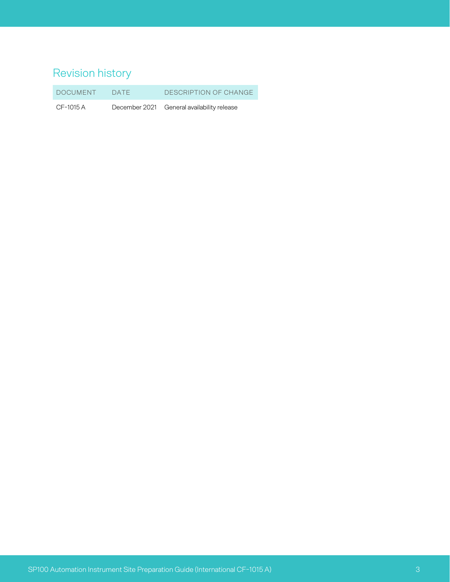# <span id="page-2-0"></span>Revision history

DOCUMENT DATE DESCRIPTION OF CHANGE

CF-1015 A December 2021 General availability release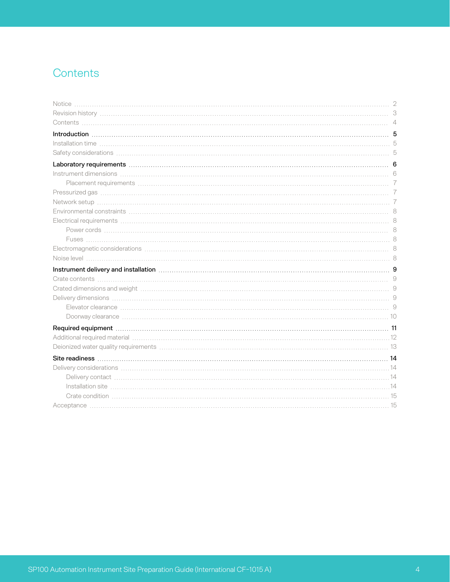# <span id="page-3-0"></span>**Contents**

| Instrument delivery and installation measure and the control of the state of the state of the state of the state of the state of the state of the state of the state of the state of the state of the state of the state of th |  |
|--------------------------------------------------------------------------------------------------------------------------------------------------------------------------------------------------------------------------------|--|
|                                                                                                                                                                                                                                |  |
| Crated dimensions and weight material continuum control and the control of the control of the control of the c                                                                                                                 |  |
| Delivery dimensions (1990) and the control of the control of the control of the control of the control of the control of the control of the control of the control of the control of the control of the control of the control |  |
| Elevator clearance with the contract of the contract of the contract of the contract of the contract of the contract of the contract of the contract of the contract of the contract of the contract of the contract of the co |  |
|                                                                                                                                                                                                                                |  |
| Required equipment with an experiment and the contract of the contract of the contract of the contract of the contract of the contract of the contract of the contract of the contract of the contract of the contract of the  |  |
|                                                                                                                                                                                                                                |  |
|                                                                                                                                                                                                                                |  |
|                                                                                                                                                                                                                                |  |
|                                                                                                                                                                                                                                |  |
|                                                                                                                                                                                                                                |  |
|                                                                                                                                                                                                                                |  |
|                                                                                                                                                                                                                                |  |
|                                                                                                                                                                                                                                |  |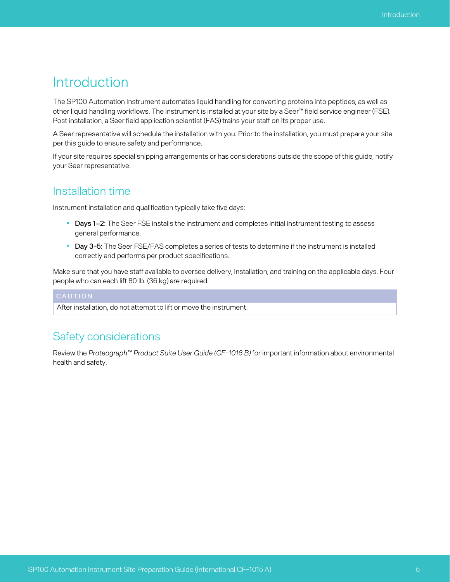# <span id="page-4-0"></span>Introduction

The SP100 Automation Instrument automates liquid handling for converting proteins into peptides, as well as other liquid handling workflows. The instrument is installed at your site by a Seer™ field service engineer (FSE). Post installation, a Seer field application scientist (FAS) trains your staff on its proper use.

A Seer representative will schedule the installation with you. Prior to the installation, you must prepare your site per this guide to ensure safety and performance.

If your site requires special shipping arrangements or has considerations outside the scope of this guide, notify your Seer representative.

#### <span id="page-4-1"></span>Installation time

Instrument installation and qualification typically take five days:

- **Days 1–2:** The Seer FSE installs the instrument and completes initial instrument testing to assess general performance.
- **Day 3-5:** The Seer FSE/FAS completes a series of tests to determine if the instrument is installed correctly and performs per product specifications.

Make sure that you have staff available to oversee delivery, installation, and training on the applicable days. Four people who can each lift 80 lb. (36 kg) are required.

<span id="page-4-2"></span>After installation, do not attempt to lift or move the instrument.

#### Safety considerations

Review the *Proteograph™ Product Suite User Guide (CF-1016 B)* for important information about environmental health and safety.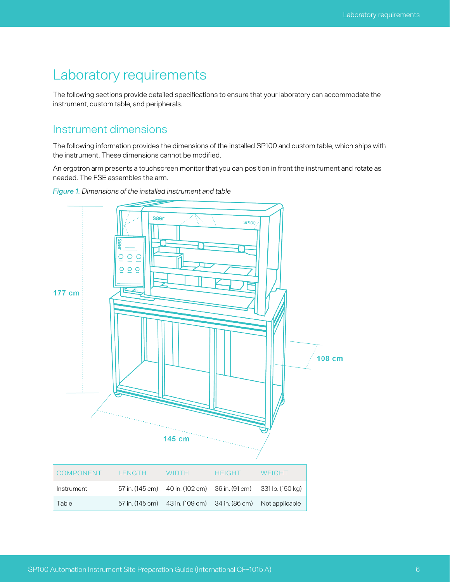# <span id="page-5-0"></span>Laboratory requirements

The following sections provide detailed specifications to ensure that your laboratory can accommodate the instrument, custom table, and peripherals.

#### <span id="page-5-1"></span>Instrument dimensions

The following information provides the dimensions of the installed SP100 and custom table, which ships with the instrument. These dimensions cannot be modified.

An ergotron arm presents a touchscreen monitor that you can position in front the instrument and rotate as needed. The FSE assembles the arm.



*Figure 1. Dimensions of the installed instrument and table*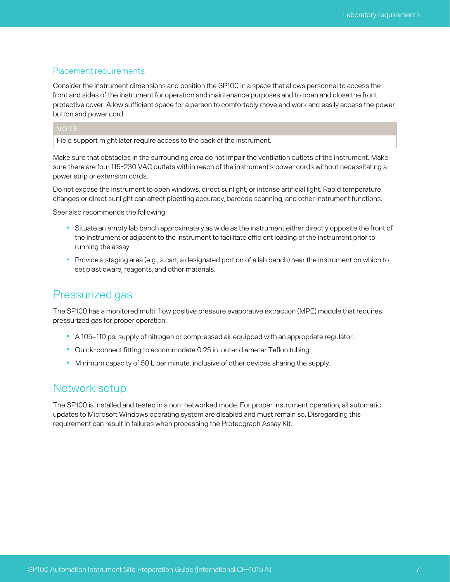#### <span id="page-6-0"></span>Placement requirements

Consider the instrument dimensions and position the SP100 in a space that allows personnel to access the front and sides of the instrument for operation and maintenance purposes and to open and close the front protective cover. Allow sufficient space for a person to comfortably move and work and easily access the power button and power cord.

Field support might later require access to the back of the instrument.

Make sure that obstacles in the surrounding area do not impair the ventilation outlets of the instrument. Make sure there are four 115-230 VAC outlets within reach of the instrument's power cords without necessitating a power strip or extension cords.

Do not expose the instrument to open windows, direct sunlight, or intense artificial light. Rapid temperature changes or direct sunlight can affect pipetting accuracy, barcode scanning, and other instrument functions.

Seer also recommends the following:

- Situate an empty lab bench approximately as wide as the instrument either directly opposite the front of the instrument or adjacent to the instrument to facilitate efficient loading of the instrument prior to running the assay.
- Provide a staging area (e.g., a cart, a designated portion of a lab bench) near the instrument on which to set plasticware, reagents, and other materials.

#### <span id="page-6-1"></span>Pressurized gas

The SP100 has a monitored multi-flow positive pressure evaporative extraction (MPE) module that requires pressurized gas for proper operation.

- A 105–110 psi supply of nitrogen or compressed air equipped with an appropriate regulator.
- Quick-connect fitting to accommodate 0.25 in. outer diameter Teflon tubing.
- Minimum capacity of 50 L per minute, inclusive of other devices sharing the supply.

#### <span id="page-6-2"></span>Network setup

The SP100 is installed and tested in a non-networked mode. For proper instrument operation, all automatic updates to Microsoft Windows operating system are disabled and must remain so. Disregarding this requirement can result in failures when processing the Proteograph Assay Kit.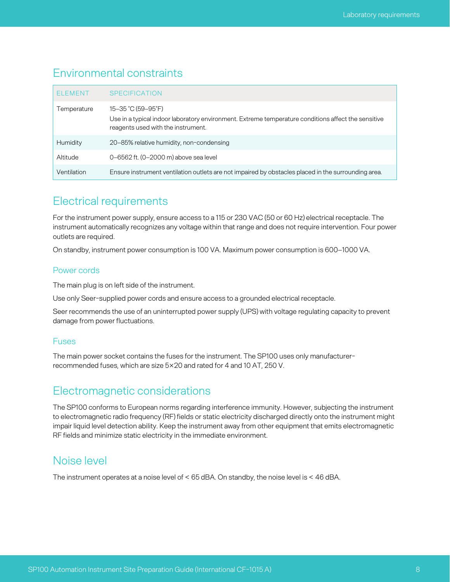#### <span id="page-7-0"></span>Environmental constraints

| <b>ELEMENT</b> | <b>SPECIFICATION</b>                                                                                                                                            |
|----------------|-----------------------------------------------------------------------------------------------------------------------------------------------------------------|
| Temperature    | 15-35 °C (59-95°F)<br>Use in a typical indoor laboratory environment. Extreme temperature conditions affect the sensitive<br>reagents used with the instrument. |
| Humidity       | 20–85% relative humidity, non-condensing                                                                                                                        |
| Altitude       | 0-6562 ft. (0-2000 m) above sea level                                                                                                                           |
| Ventilation    | Ensure instrument ventilation outlets are not impaired by obstacles placed in the surrounding area.                                                             |

#### <span id="page-7-1"></span>Electrical requirements

For the instrument power supply, ensure access to a 115 or 230 VAC (50 or 60 Hz) electrical receptacle. The instrument automatically recognizes any voltage within that range and does not require intervention. Four power outlets are required.

<span id="page-7-2"></span>On standby, instrument power consumption is 100 VA. Maximum power consumption is 600–1000 VA.

#### Power cords

The main plug is on left side of the instrument.

Use only Seer-supplied power cords and ensure access to a grounded electrical receptacle.

Seer recommends the use of an uninterrupted power supply (UPS) with voltage regulating capacity to prevent damage from power fluctuations.

#### <span id="page-7-3"></span>Fuses

The main power socket contains the fuses for the instrument. The SP100 uses only manufacturerrecommended fuses, which are size 5×20 and rated for 4 and 10 AT, 250 V.

### <span id="page-7-4"></span>Electromagnetic considerations

The SP100 conforms to European norms regarding interference immunity. However, subjecting the instrument to electromagnetic radio frequency (RF) fields or static electricity discharged directly onto the instrument might impair liquid level detection ability. Keep the instrument away from other equipment that emits electromagnetic RF fields and minimize static electricity in the immediate environment.

### <span id="page-7-5"></span>Noise level

The instrument operates at a noise level of < 65 dBA. On standby, the noise level is < 46 dBA.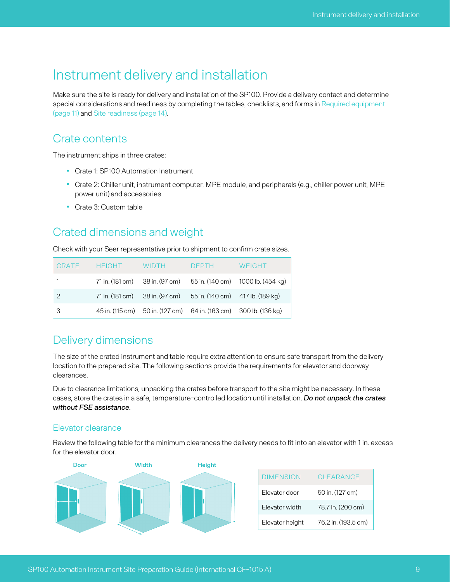# <span id="page-8-0"></span>Instrument delivery and installation

Make sure the site is ready for delivery and installation of the SP100. Provide a delivery contact and determine special considerations and readiness by completing the tables, checklists, and forms in Required [equipment](#page-10-0) [\(page](#page-10-0) 11) and Site [readiness](#page-13-0) (page 14).

#### <span id="page-8-1"></span>Crate contents

The instrument ships in three crates:

- Crate 1: SP100 Automation Instrument
- Crate 2: Chiller unit, instrument computer, MPE module, and peripherals (e.g., chiller power unit, MPE power unit) and accessories
- Crate 3: Custom table

#### <span id="page-8-2"></span>Crated dimensions and weight

Check with your Seer representative prior to shipment to confirm crate sizes.

| CRATE      | <b>HFIGHT</b> | <b>WIDTH</b> | <b>DEPTH</b>                                                     | WEIGHT                                                           |
|------------|---------------|--------------|------------------------------------------------------------------|------------------------------------------------------------------|
|            |               |              |                                                                  | 71 in. (181 cm) 38 in. (97 cm) 55 in. (140 cm) 1000 lb. (454 kg) |
| $\sqrt{2}$ |               |              | 71 in. (181 cm) 38 in. (97 cm) 55 in. (140 cm) 417 lb. (189 kg)  |                                                                  |
| l 3        |               |              | 45 in. (115 cm) 50 in. (127 cm) 64 in. (163 cm) 300 lb. (136 kg) |                                                                  |

#### <span id="page-8-3"></span>Delivery dimensions

The size of the crated instrument and table require extra attention to ensure safe transport from the delivery location to the prepared site. The following sections provide the requirements for elevator and doorway clearances.

Due to clearance limitations, unpacking the crates before transport to the site might be necessary. In these cases, store the crates in a safe, temperature-controlled location until installation. *Do not unpack the crates without FSE assistance.*

#### <span id="page-8-4"></span>Elevator clearance

Review the following table for the minimum clearances the delivery needs to fit into an elevator with 1 in. excess for the elevator door.

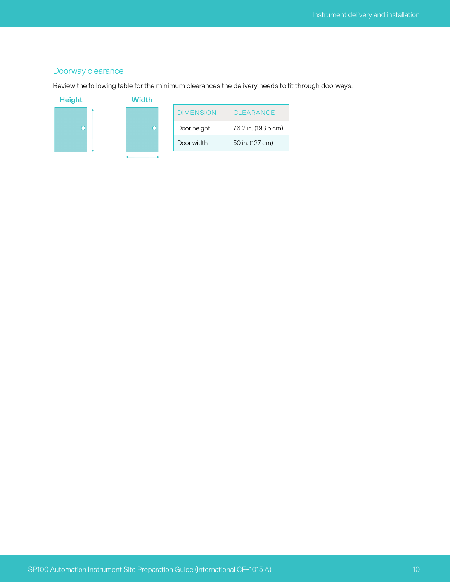#### <span id="page-9-0"></span>Doorway clearance

Review the following table for the minimum clearances the delivery needs to fit through doorways.



| DIMENSION   | CLEARANCE           |
|-------------|---------------------|
| Door height | 76.2 in. (193.5 cm) |
| Door width  | 50 in. (127 cm)     |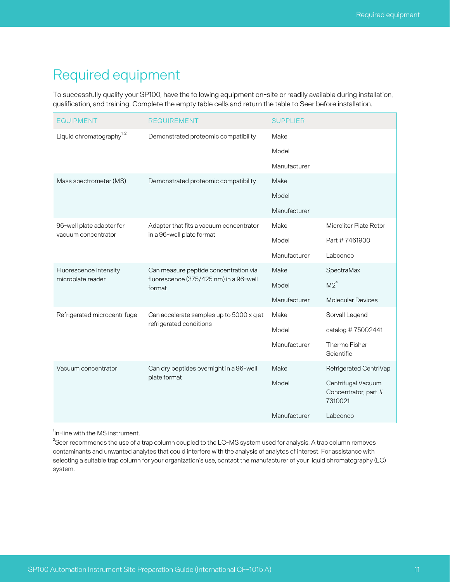# <span id="page-10-0"></span>Required equipment

To successfully qualify your SP100, have the following equipment on-site or readily available during installation, qualification, and training. Complete the empty table cells and return the table to Seer before installation.

| <b>EQUIPMENT</b>                     | <b>REQUIREMENT</b>                                                                        | <b>SUPPLIER</b> |                                                       |
|--------------------------------------|-------------------------------------------------------------------------------------------|-----------------|-------------------------------------------------------|
| Liquid chromatography <sup>1,2</sup> | Demonstrated proteomic compatibility                                                      | Make            |                                                       |
|                                      |                                                                                           | Model           |                                                       |
|                                      |                                                                                           | Manufacturer    |                                                       |
| Mass spectrometer (MS)               | Demonstrated proteomic compatibility                                                      | Make            |                                                       |
|                                      |                                                                                           | Model           |                                                       |
|                                      |                                                                                           | Manufacturer    |                                                       |
| 96-well plate adapter for            | Adapter that fits a vacuum concentrator<br>in a 96-well plate format                      | Make            | Microliter Plate Rotor                                |
| vacuum concentrator                  |                                                                                           | Model           | Part #7461900                                         |
|                                      |                                                                                           | Manufacturer    | Labconco                                              |
| Fluorescence intensity               | Can measure peptide concentration via<br>fluorescence (375/425 nm) in a 96-well<br>format | Make            | SpectraMax                                            |
| microplate reader                    |                                                                                           | Model           | M2 <sup>e</sup>                                       |
|                                      |                                                                                           | Manufacturer    | <b>Molecular Devices</b>                              |
| Refrigerated microcentrifuge         | Can accelerate samples up to 5000 x g at<br>refrigerated conditions                       | Make            | Sorvall Legend                                        |
|                                      |                                                                                           | Model           | catalog #75002441                                     |
|                                      |                                                                                           | Manufacturer    | Thermo Fisher<br>Scientific                           |
| Vacuum concentrator                  | Can dry peptides overnight in a 96-well<br>plate format                                   | Make            | Refrigerated CentriVap                                |
|                                      |                                                                                           | Model           | Centrifugal Vacuum<br>Concentrator, part #<br>7310021 |
|                                      |                                                                                           | Manufacturer    | Labconco                                              |

 $^1$ In-line with the MS instrument.

 $^{2}$ Seer recommends the use of a trap column coupled to the LC-MS system used for analysis. A trap column removes contaminants and unwanted analytes that could interfere with the analysis of analytes of interest. For assistance with selecting a suitable trap column for your organization's use, contact the manufacturer of your liquid chromatography (LC) system.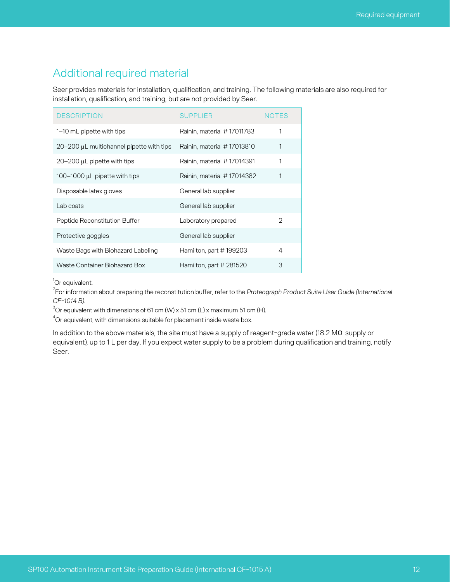## <span id="page-11-0"></span>Additional required material

Seer provides materials for installation, qualification, and training. The following materials are also required for installation, qualification, and training, but are not provided by Seer.

| <b>DESCRIPTION</b>                              | <b>SUPPLIER</b>            | <b>NOTES</b> |
|-------------------------------------------------|----------------------------|--------------|
| 1–10 mL pipette with tips                       | Rainin, material #17011783 |              |
| $20-200$ $\mu$ L multichannel pipette with tips | Rainin, material #17013810 | 1            |
| $20-200$ $\mu$ pipette with tips                | Rainin, material #17014391 | 1            |
| 100–1000 $\mu$ L pipette with tips              | Rainin, material #17014382 |              |
| Disposable latex gloves                         | General lab supplier       |              |
| Lab coats                                       | General lab supplier       |              |
| Peptide Reconstitution Buffer                   | Laboratory prepared        | 2            |
| Protective goggles                              | General lab supplier       |              |
| Waste Bags with Biohazard Labeling              | Hamilton, part #199203     | 4            |
| Waste Container Biohazard Box                   | Hamilton, part # 281520    | З            |

<sup>1</sup>Or equivalent.

2 For information about preparing the reconstitution buffer, refer to the *Proteograph Product Suite User Guide (International CF-1014 B)*.

 $3^3$ Or equivalent with dimensions of 61 cm (W) x 51 cm (L) x maximum 51 cm (H).

 $4$ Or equivalent, with dimensions suitable for placement inside waste box.

In addition to the above materials, the site must have a supply of reagent-grade water (18.2 MΩ supply or equivalent), up to 1 L per day. If you expect water supply to be a problem during qualification and training, notify Seer.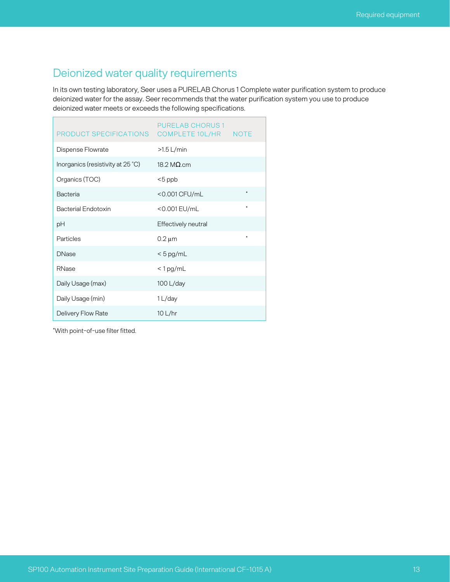## <span id="page-12-0"></span>Deionized water quality requirements

In its own testing laboratory, Seer uses a PURELAB Chorus 1 Complete water purification system to produce deionized water for the assay. Seer recommends that the water purification system you use to produce deionized water meets or exceeds the following specifications.

| PRODUCT SPECIFICATIONS  COMPLETE 10L/HR  NOTE | PURFI AB CHORUS 1   |   |
|-----------------------------------------------|---------------------|---|
| Dispense Flowrate                             | $>1.5$ L/min        |   |
| Inorganics (resistivity at 25 °C)             | 18.2 M $\Omega$ .cm |   |
| Organics (TOC)                                | $<$ 5 ppb           |   |
| <b>Bacteria</b>                               | <0.001 CFU/mL       |   |
| <b>Bacterial Endotoxin</b>                    | <0.001 EU/mL        | ₩ |
| рH                                            | Effectively neutral |   |
| Particles                                     | $0.2 \mu m$         | ₩ |
| <b>DNase</b>                                  | $< 5$ pg/mL         |   |
| RNase                                         | $< 1$ pg/mL         |   |
| Daily Usage (max)                             | 100 L/day           |   |
| Daily Usage (min)                             | 1 L/day             |   |
| Delivery Flow Rate                            | 10 L/hr             |   |

\*With point-of-use filter fitted.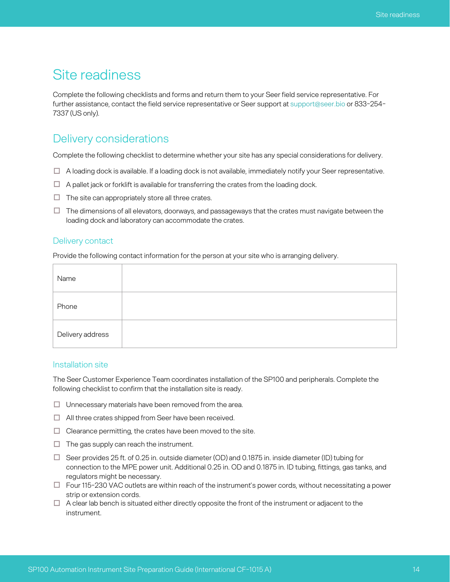# <span id="page-13-0"></span>Site readiness

Complete the following checklists and forms and return them to your Seer field service representative. For further assistance, contact the field service representative or Seer support at [support@seer.bio](mailto:support@seer.bio) or 833-254- 7337 (US only).

#### <span id="page-13-1"></span>Delivery considerations

Complete the following checklist to determine whether your site has any special considerations for delivery.

- $\Box$  A loading dock is available. If a loading dock is not available, immediately notify your Seer representative.
- $\Box$  A pallet jack or forklift is available for transferring the crates from the loading dock.
- $\Box$  The site can appropriately store all three crates.
- $\Box$  The dimensions of all elevators, doorways, and passageways that the crates must navigate between the loading dock and laboratory can accommodate the crates.

#### <span id="page-13-2"></span>Delivery contact

Provide the following contact information for the person at your site who is arranging delivery.

| Name             |  |  |
|------------------|--|--|
| Phone            |  |  |
| Delivery address |  |  |

#### <span id="page-13-3"></span>Installation site

The Seer Customer Experience Team coordinates installation of the SP100 and peripherals. Complete the following checklist to confirm that the installation site is ready.

- $\Box$  Unnecessary materials have been removed from the area.
- $\Box$  All three crates shipped from Seer have been received.
- $\Box$  Clearance permitting, the crates have been moved to the site.
- $\Box$  The gas supply can reach the instrument.
- $\Box$  Seer provides 25 ft. of 0.25 in. outside diameter (OD) and 0.1875 in. inside diameter (ID) tubing for connection to the MPE power unit. Additional 0.25 in. OD and 0.1875 in. ID tubing, fittings, gas tanks, and regulators might be necessary.
- $\square$  Four 115-230 VAC outlets are within reach of the instrument's power cords, without necessitating a power strip or extension cords.
- $\Box$  A clear lab bench is situated either directly opposite the front of the instrument or adjacent to the instrument.